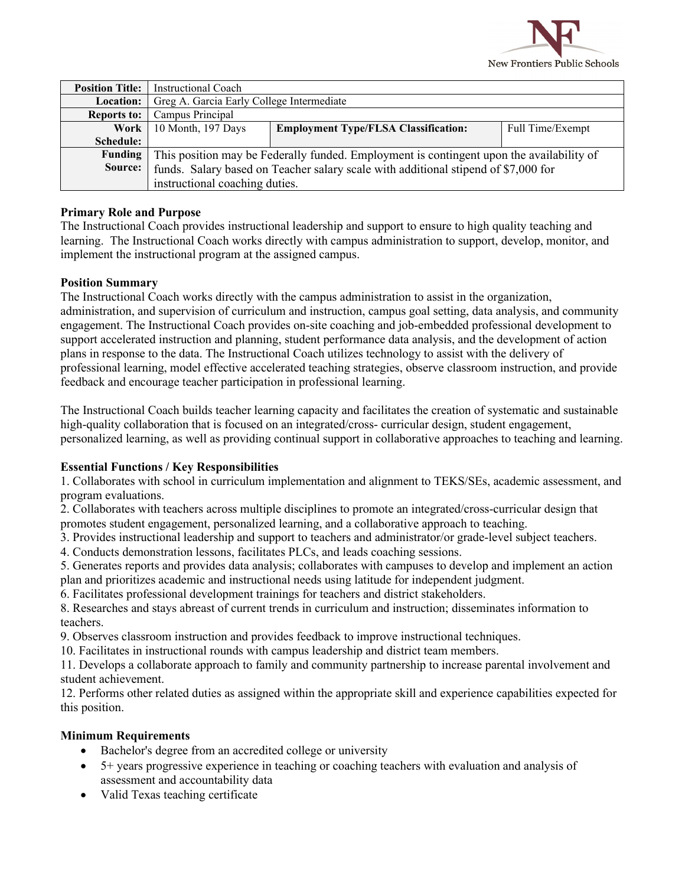

| <b>Position Title:</b> | Instructional Coach                                                                      |                                             |                  |
|------------------------|------------------------------------------------------------------------------------------|---------------------------------------------|------------------|
| Location:              | Greg A. Garcia Early College Intermediate                                                |                                             |                  |
| <b>Reports to:</b>     | Campus Principal                                                                         |                                             |                  |
| Work                   | 10 Month, 197 Days                                                                       | <b>Employment Type/FLSA Classification:</b> | Full Time/Exempt |
| Schedule:              |                                                                                          |                                             |                  |
| Funding                | This position may be Federally funded. Employment is contingent upon the availability of |                                             |                  |
| Source:                | funds. Salary based on Teacher salary scale with additional stipend of \$7,000 for       |                                             |                  |
|                        | instructional coaching duties.                                                           |                                             |                  |

### **Primary Role and Purpose**

The Instructional Coach provides instructional leadership and support to ensure to high quality teaching and learning. The Instructional Coach works directly with campus administration to support, develop, monitor, and implement the instructional program at the assigned campus.

### **Position Summary**

The Instructional Coach works directly with the campus administration to assist in the organization, administration, and supervision of curriculum and instruction, campus goal setting, data analysis, and community engagement. The Instructional Coach provides on-site coaching and job-embedded professional development to support accelerated instruction and planning, student performance data analysis, and the development of action plans in response to the data. The Instructional Coach utilizes technology to assist with the delivery of professional learning, model effective accelerated teaching strategies, observe classroom instruction, and provide feedback and encourage teacher participation in professional learning.

The Instructional Coach builds teacher learning capacity and facilitates the creation of systematic and sustainable high-quality collaboration that is focused on an integrated/cross- curricular design, student engagement, personalized learning, as well as providing continual support in collaborative approaches to teaching and learning.

#### **Essential Functions / Key Responsibilities**

1. Collaborates with school in curriculum implementation and alignment to TEKS/SEs, academic assessment, and program evaluations.

2. Collaborates with teachers across multiple disciplines to promote an integrated/cross-curricular design that promotes student engagement, personalized learning, and a collaborative approach to teaching.

3. Provides instructional leadership and support to teachers and administrator/or grade-level subject teachers.

4. Conducts demonstration lessons, facilitates PLCs, and leads coaching sessions.

5. Generates reports and provides data analysis; collaborates with campuses to develop and implement an action plan and prioritizes academic and instructional needs using latitude for independent judgment.

6. Facilitates professional development trainings for teachers and district stakeholders.

8. Researches and stays abreast of current trends in curriculum and instruction; disseminates information to teachers.

9. Observes classroom instruction and provides feedback to improve instructional techniques.

10. Facilitates in instructional rounds with campus leadership and district team members.

11. Develops a collaborate approach to family and community partnership to increase parental involvement and student achievement.

12. Performs other related duties as assigned within the appropriate skill and experience capabilities expected for this position.

#### **Minimum Requirements**

- Bachelor's degree from an accredited college or university
- 5+ years progressive experience in teaching or coaching teachers with evaluation and analysis of assessment and accountability data
- Valid Texas teaching certificate